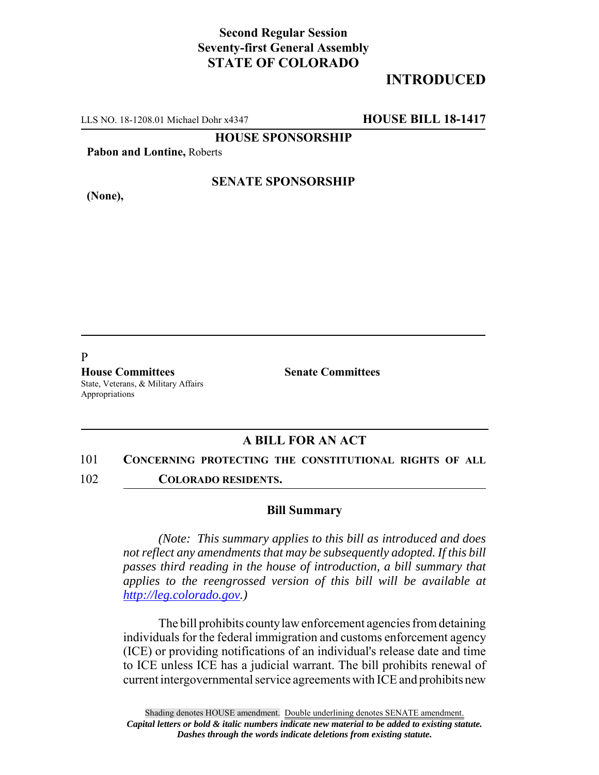## **Second Regular Session Seventy-first General Assembly STATE OF COLORADO**

# **INTRODUCED**

LLS NO. 18-1208.01 Michael Dohr x4347 **HOUSE BILL 18-1417**

**HOUSE SPONSORSHIP**

**Pabon and Lontine,** Roberts

**(None),**

### **SENATE SPONSORSHIP**

P

**House Committees Senate Committees** State, Veterans, & Military Affairs Appropriations

### **A BILL FOR AN ACT**

101 **CONCERNING PROTECTING THE CONSTITUTIONAL RIGHTS OF ALL**

102 **COLORADO RESIDENTS.**

#### **Bill Summary**

*(Note: This summary applies to this bill as introduced and does not reflect any amendments that may be subsequently adopted. If this bill passes third reading in the house of introduction, a bill summary that applies to the reengrossed version of this bill will be available at http://leg.colorado.gov.)*

The bill prohibits county law enforcement agencies from detaining individuals for the federal immigration and customs enforcement agency (ICE) or providing notifications of an individual's release date and time to ICE unless ICE has a judicial warrant. The bill prohibits renewal of current intergovernmental service agreements with ICE and prohibits new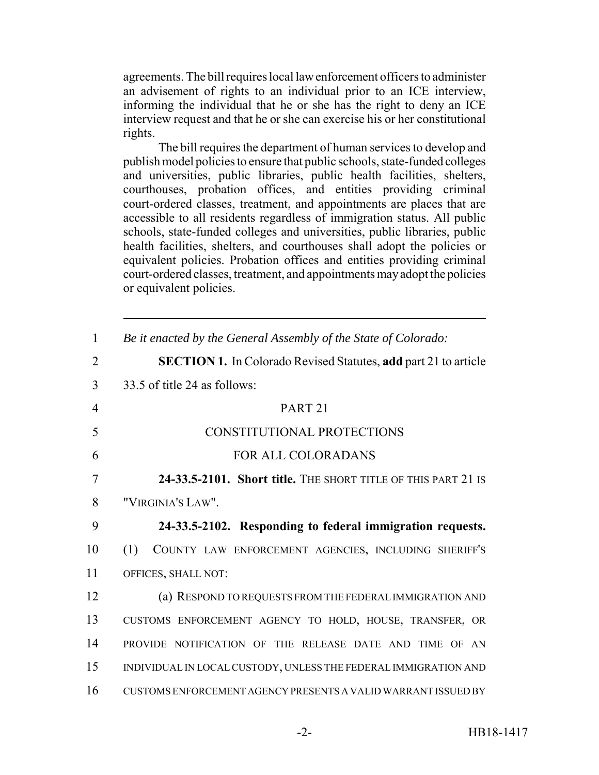agreements. The bill requires local law enforcement officers to administer an advisement of rights to an individual prior to an ICE interview, informing the individual that he or she has the right to deny an ICE interview request and that he or she can exercise his or her constitutional rights.

The bill requires the department of human services to develop and publish model policies to ensure that public schools, state-funded colleges and universities, public libraries, public health facilities, shelters, courthouses, probation offices, and entities providing criminal court-ordered classes, treatment, and appointments are places that are accessible to all residents regardless of immigration status. All public schools, state-funded colleges and universities, public libraries, public health facilities, shelters, and courthouses shall adopt the policies or equivalent policies. Probation offices and entities providing criminal court-ordered classes, treatment, and appointments may adopt the policies or equivalent policies.

| $\mathbf{1}$   | Be it enacted by the General Assembly of the State of Colorado:        |
|----------------|------------------------------------------------------------------------|
| $\overline{2}$ | <b>SECTION 1.</b> In Colorado Revised Statutes, add part 21 to article |
| 3              | 33.5 of title 24 as follows:                                           |
| $\overline{4}$ | PART <sub>21</sub>                                                     |
| 5              | CONSTITUTIONAL PROTECTIONS                                             |
| 6              | <b>FOR ALL COLORADANS</b>                                              |
| $\overline{7}$ | 24-33.5-2101. Short title. THE SHORT TITLE OF THIS PART 21 IS          |
| 8              | "VIRGINIA'S LAW".                                                      |
| 9              | 24-33.5-2102. Responding to federal immigration requests.              |
| 10             | (1)<br>COUNTY LAW ENFORCEMENT AGENCIES, INCLUDING SHERIFF'S            |
| 11             | OFFICES, SHALL NOT:                                                    |
| 12             | (a) RESPOND TO REQUESTS FROM THE FEDERAL IMMIGRATION AND               |
| 13             | CUSTOMS ENFORCEMENT AGENCY TO HOLD, HOUSE, TRANSFER, OR                |
| 14             | PROVIDE NOTIFICATION OF THE RELEASE DATE AND TIME OF AN                |
| 15             | INDIVIDUAL IN LOCAL CUSTODY, UNLESS THE FEDERAL IMMIGRATION AND        |
|                |                                                                        |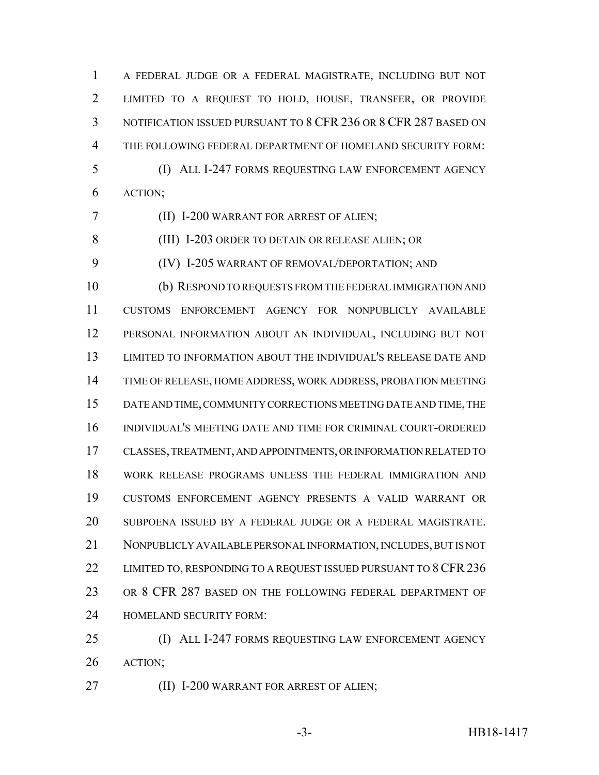A FEDERAL JUDGE OR A FEDERAL MAGISTRATE, INCLUDING BUT NOT LIMITED TO A REQUEST TO HOLD, HOUSE, TRANSFER, OR PROVIDE NOTIFICATION ISSUED PURSUANT TO 8 CFR 236 OR 8 CFR 287 BASED ON THE FOLLOWING FEDERAL DEPARTMENT OF HOMELAND SECURITY FORM: (I) ALL I-247 FORMS REQUESTING LAW ENFORCEMENT AGENCY ACTION;

(II) I-200 WARRANT FOR ARREST OF ALIEN;

(III) I-203 ORDER TO DETAIN OR RELEASE ALIEN; OR

(IV) I-205 WARRANT OF REMOVAL/DEPORTATION; AND

 (b) RESPOND TO REQUESTS FROM THE FEDERAL IMMIGRATION AND CUSTOMS ENFORCEMENT AGENCY FOR NONPUBLICLY AVAILABLE PERSONAL INFORMATION ABOUT AN INDIVIDUAL, INCLUDING BUT NOT LIMITED TO INFORMATION ABOUT THE INDIVIDUAL'S RELEASE DATE AND TIME OF RELEASE, HOME ADDRESS, WORK ADDRESS, PROBATION MEETING DATE AND TIME, COMMUNITY CORRECTIONS MEETING DATE AND TIME, THE INDIVIDUAL'S MEETING DATE AND TIME FOR CRIMINAL COURT-ORDERED CLASSES, TREATMENT, AND APPOINTMENTS, OR INFORMATION RELATED TO WORK RELEASE PROGRAMS UNLESS THE FEDERAL IMMIGRATION AND CUSTOMS ENFORCEMENT AGENCY PRESENTS A VALID WARRANT OR SUBPOENA ISSUED BY A FEDERAL JUDGE OR A FEDERAL MAGISTRATE. NONPUBLICLY AVAILABLE PERSONAL INFORMATION, INCLUDES, BUT IS NOT 22 LIMITED TO, RESPONDING TO A REQUEST ISSUED PURSUANT TO 8 CFR 236 OR 8 CFR 287 BASED ON THE FOLLOWING FEDERAL DEPARTMENT OF HOMELAND SECURITY FORM:

 (I) ALL I-247 FORMS REQUESTING LAW ENFORCEMENT AGENCY ACTION;

(II) I-200 WARRANT FOR ARREST OF ALIEN;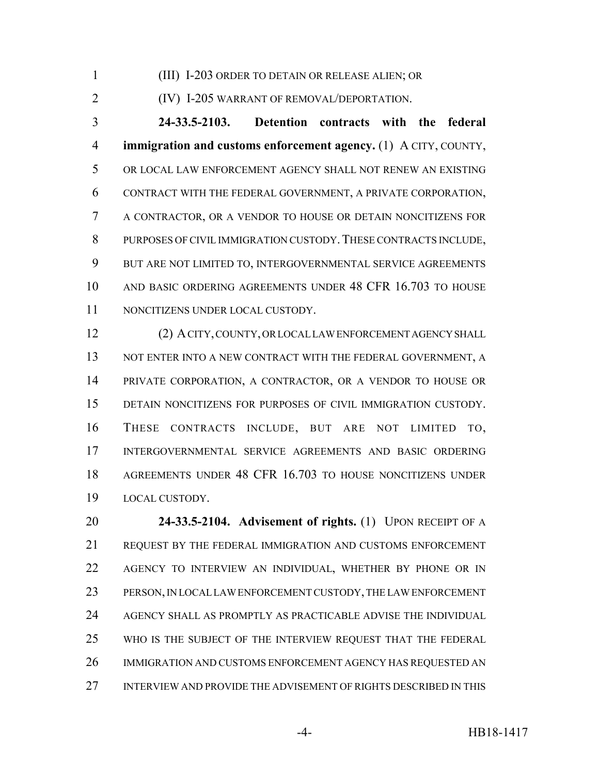(III) I-203 ORDER TO DETAIN OR RELEASE ALIEN; OR

(IV) I-205 WARRANT OF REMOVAL/DEPORTATION.

 **24-33.5-2103. Detention contracts with the federal immigration and customs enforcement agency.** (1) A CITY, COUNTY, OR LOCAL LAW ENFORCEMENT AGENCY SHALL NOT RENEW AN EXISTING CONTRACT WITH THE FEDERAL GOVERNMENT, A PRIVATE CORPORATION, A CONTRACTOR, OR A VENDOR TO HOUSE OR DETAIN NONCITIZENS FOR PURPOSES OF CIVIL IMMIGRATION CUSTODY.THESE CONTRACTS INCLUDE, BUT ARE NOT LIMITED TO, INTERGOVERNMENTAL SERVICE AGREEMENTS AND BASIC ORDERING AGREEMENTS UNDER 48 CFR 16.703 TO HOUSE NONCITIZENS UNDER LOCAL CUSTODY.

 (2) A CITY, COUNTY, OR LOCAL LAW ENFORCEMENT AGENCY SHALL 13 NOT ENTER INTO A NEW CONTRACT WITH THE FEDERAL GOVERNMENT, A PRIVATE CORPORATION, A CONTRACTOR, OR A VENDOR TO HOUSE OR DETAIN NONCITIZENS FOR PURPOSES OF CIVIL IMMIGRATION CUSTODY. THESE CONTRACTS INCLUDE, BUT ARE NOT LIMITED TO, INTERGOVERNMENTAL SERVICE AGREEMENTS AND BASIC ORDERING AGREEMENTS UNDER 48 CFR 16.703 TO HOUSE NONCITIZENS UNDER LOCAL CUSTODY.

 **24-33.5-2104. Advisement of rights.** (1) UPON RECEIPT OF A REQUEST BY THE FEDERAL IMMIGRATION AND CUSTOMS ENFORCEMENT AGENCY TO INTERVIEW AN INDIVIDUAL, WHETHER BY PHONE OR IN PERSON, IN LOCAL LAW ENFORCEMENT CUSTODY, THE LAW ENFORCEMENT AGENCY SHALL AS PROMPTLY AS PRACTICABLE ADVISE THE INDIVIDUAL WHO IS THE SUBJECT OF THE INTERVIEW REQUEST THAT THE FEDERAL IMMIGRATION AND CUSTOMS ENFORCEMENT AGENCY HAS REQUESTED AN INTERVIEW AND PROVIDE THE ADVISEMENT OF RIGHTS DESCRIBED IN THIS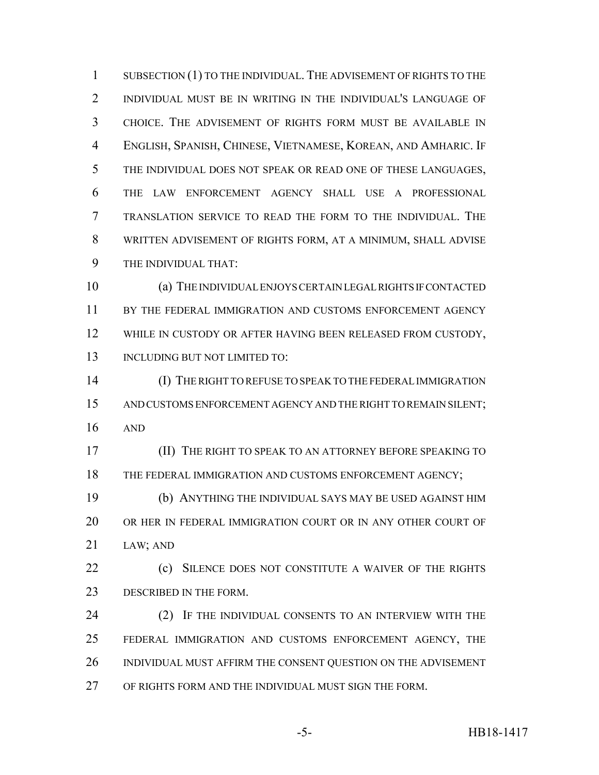1 SUBSECTION (1) TO THE INDIVIDUAL. THE ADVISEMENT OF RIGHTS TO THE INDIVIDUAL MUST BE IN WRITING IN THE INDIVIDUAL'S LANGUAGE OF CHOICE. THE ADVISEMENT OF RIGHTS FORM MUST BE AVAILABLE IN ENGLISH, SPANISH, CHINESE, VIETNAMESE, KOREAN, AND AMHARIC. IF THE INDIVIDUAL DOES NOT SPEAK OR READ ONE OF THESE LANGUAGES, THE LAW ENFORCEMENT AGENCY SHALL USE A PROFESSIONAL TRANSLATION SERVICE TO READ THE FORM TO THE INDIVIDUAL. THE WRITTEN ADVISEMENT OF RIGHTS FORM, AT A MINIMUM, SHALL ADVISE THE INDIVIDUAL THAT:

 (a) THE INDIVIDUAL ENJOYS CERTAIN LEGAL RIGHTS IF CONTACTED BY THE FEDERAL IMMIGRATION AND CUSTOMS ENFORCEMENT AGENCY 12 WHILE IN CUSTODY OR AFTER HAVING BEEN RELEASED FROM CUSTODY, 13 INCLUDING BUT NOT LIMITED TO:

 (I) THE RIGHT TO REFUSE TO SPEAK TO THE FEDERAL IMMIGRATION AND CUSTOMS ENFORCEMENT AGENCY AND THE RIGHT TO REMAIN SILENT; AND

 (II) THE RIGHT TO SPEAK TO AN ATTORNEY BEFORE SPEAKING TO 18 THE FEDERAL IMMIGRATION AND CUSTOMS ENFORCEMENT AGENCY;

 (b) ANYTHING THE INDIVIDUAL SAYS MAY BE USED AGAINST HIM OR HER IN FEDERAL IMMIGRATION COURT OR IN ANY OTHER COURT OF LAW; AND

**(c)** SILENCE DOES NOT CONSTITUTE A WAIVER OF THE RIGHTS 23 DESCRIBED IN THE FORM.

24 (2) IF THE INDIVIDUAL CONSENTS TO AN INTERVIEW WITH THE FEDERAL IMMIGRATION AND CUSTOMS ENFORCEMENT AGENCY, THE INDIVIDUAL MUST AFFIRM THE CONSENT QUESTION ON THE ADVISEMENT OF RIGHTS FORM AND THE INDIVIDUAL MUST SIGN THE FORM.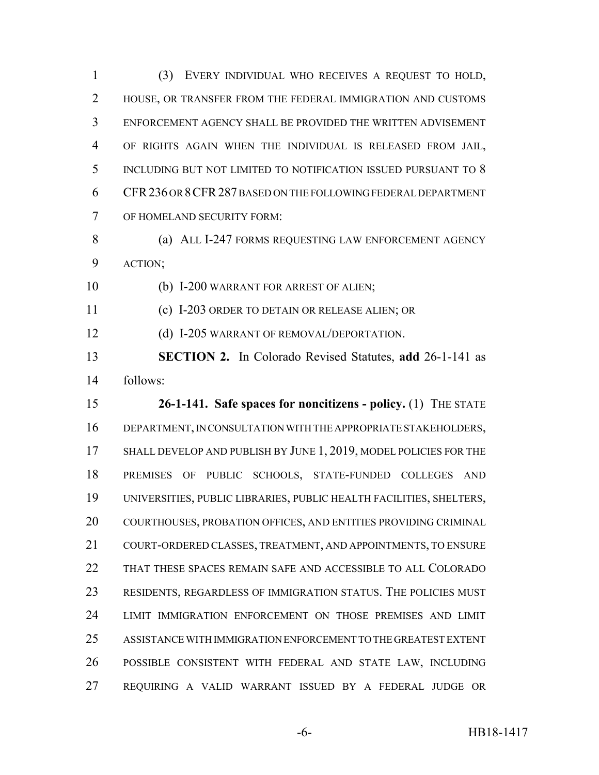(3) EVERY INDIVIDUAL WHO RECEIVES A REQUEST TO HOLD, HOUSE, OR TRANSFER FROM THE FEDERAL IMMIGRATION AND CUSTOMS ENFORCEMENT AGENCY SHALL BE PROVIDED THE WRITTEN ADVISEMENT OF RIGHTS AGAIN WHEN THE INDIVIDUAL IS RELEASED FROM JAIL, INCLUDING BUT NOT LIMITED TO NOTIFICATION ISSUED PURSUANT TO 8 CFR236 OR 8CFR287 BASED ON THE FOLLOWING FEDERAL DEPARTMENT OF HOMELAND SECURITY FORM:

8 (a) ALL I-247 FORMS REQUESTING LAW ENFORCEMENT AGENCY ACTION;

(b) I-200 WARRANT FOR ARREST OF ALIEN;

(c) I-203 ORDER TO DETAIN OR RELEASE ALIEN; OR

12 (d) I-205 WARRANT OF REMOVAL/DEPORTATION.

 **SECTION 2.** In Colorado Revised Statutes, **add** 26-1-141 as follows:

 **26-1-141. Safe spaces for noncitizens - policy.** (1) THE STATE DEPARTMENT, IN CONSULTATION WITH THE APPROPRIATE STAKEHOLDERS, 17 SHALL DEVELOP AND PUBLISH BY JUNE 1, 2019, MODEL POLICIES FOR THE PREMISES OF PUBLIC SCHOOLS, STATE-FUNDED COLLEGES AND UNIVERSITIES, PUBLIC LIBRARIES, PUBLIC HEALTH FACILITIES, SHELTERS, COURTHOUSES, PROBATION OFFICES, AND ENTITIES PROVIDING CRIMINAL COURT-ORDERED CLASSES, TREATMENT, AND APPOINTMENTS, TO ENSURE THAT THESE SPACES REMAIN SAFE AND ACCESSIBLE TO ALL COLORADO RESIDENTS, REGARDLESS OF IMMIGRATION STATUS. THE POLICIES MUST LIMIT IMMIGRATION ENFORCEMENT ON THOSE PREMISES AND LIMIT ASSISTANCE WITH IMMIGRATION ENFORCEMENT TO THE GREATEST EXTENT POSSIBLE CONSISTENT WITH FEDERAL AND STATE LAW, INCLUDING REQUIRING A VALID WARRANT ISSUED BY A FEDERAL JUDGE OR